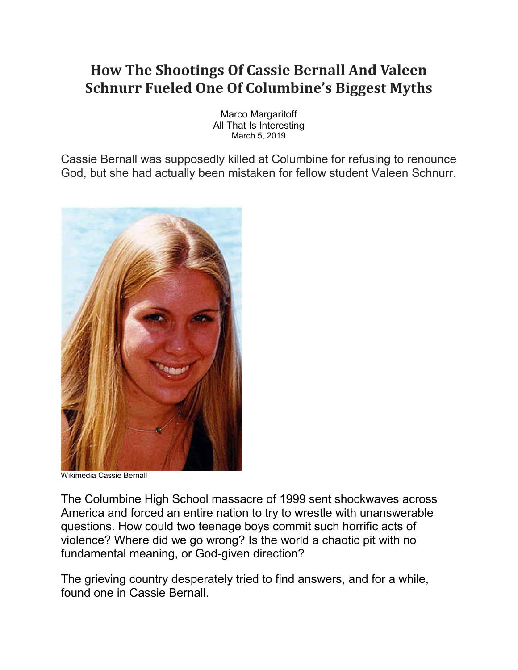## **How The Shootings Of Cassie Bernall And Valeen Schnurr Fueled One Of Columbine's Biggest Myths**

Marco Margaritoff All That Is Interesting March 5, 2019

Cassie Bernall was supposedly killed at Columbine for refusing to renounce God, but she had actually been mistaken for fellow student Valeen Schnurr.



Wikimedia Cassie Bernall

The Columbine High School massacre of 1999 sent shockwaves across America and forced an entire nation to try to wrestle with unanswerable questions. How could two teenage boys commit such horrific acts of violence? Where did we go wrong? Is the world a chaotic pit with no fundamental meaning, or God-given direction?

The grieving country desperately tried to find answers, and for a while, found one in Cassie Bernall.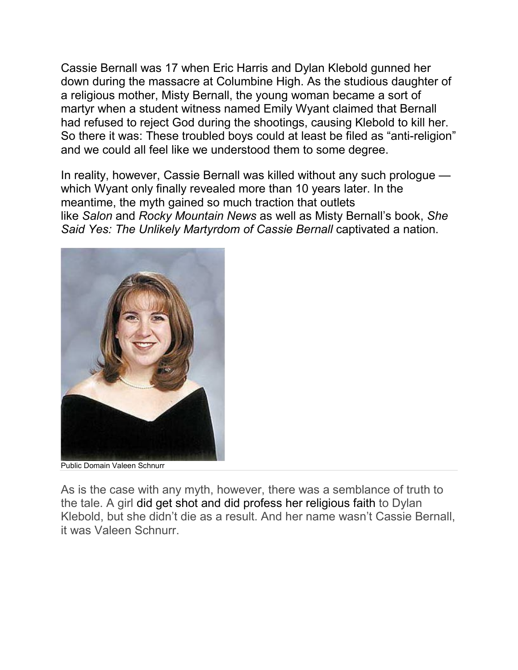Cassie Bernall was 17 when Eric Harris and Dylan Klebold gunned her down during the massacre at Columbine High. As the studious daughter of a religious mother, Misty Bernall, the young woman became a sort of martyr when a student witness named Emily Wyant claimed that Bernall had refused to reject God during the shootings, causing Klebold to kill her. So there it was: These troubled boys could at least be filed as "anti-religion" and we could all feel like we understood them to some degree.

In reality, however, Cassie Bernall was killed without any such prologue which Wyant only finally revealed more than 10 years later. In the meantime, the myth gained so much traction that outlets like *Salon* and *Rocky Mountain News* as well as Misty Bernall's book, *She Said Yes: The Unlikely Martyrdom of Cassie Bernall* captivated a nation.



Public Domain Valeen Schnurr

As is the case with any myth, however, there was a semblance of truth to the tale. A girl [did get shot and did profess her religious faith](https://newrepublic.com/article/122832/why-does-columbine-myth-about-martyr-cassie-bernall-persist) to Dylan Klebold, but she didn't die as a result. And her name wasn't Cassie Bernall, it was Valeen Schnurr.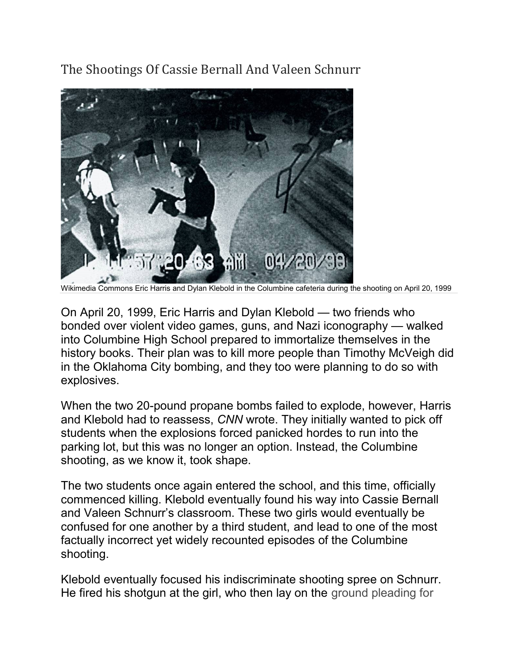The Shootings Of Cassie Bernall And Valeen Schnurr



Wikimedia Commons Eric Harris and Dylan Klebold in the Columbine cafeteria during the shooting on April 20, 1999

On April 20, 1999, Eric Harris and Dylan Klebold — two friends who bonded over violent video games, guns, and Nazi iconography — walked into Columbine High School prepared to immortalize themselves in the history books. Their plan was to kill more people than Timothy McVeigh did in the Oklahoma City bombing, and they too were planning to do so with explosives.

When the two 20-pound propane bombs failed to explode, however, Harris and Klebold had to reassess, *[CNN](http://edition.cnn.com/SPECIALS/2000/columbine.cd/Pages/dufflebags.htm)* wrote. They initially wanted to pick off students when the explosions forced panicked hordes to run into the parking lot, but this was no longer an option. Instead, the Columbine shooting, as we know it, took shape.

The two students once again entered the school, and this time, officially commenced killing. Klebold eventually found his way into Cassie Bernall and Valeen Schnurr's classroom. These two girls would eventually be confused for one another by a third student, and lead to one of the most factually incorrect yet widely recounted episodes of the Columbine shooting.

Klebold eventually focused his indiscriminate shooting spree on Schnurr. He fired his shotgun at the girl, who then lay on the ground pleading for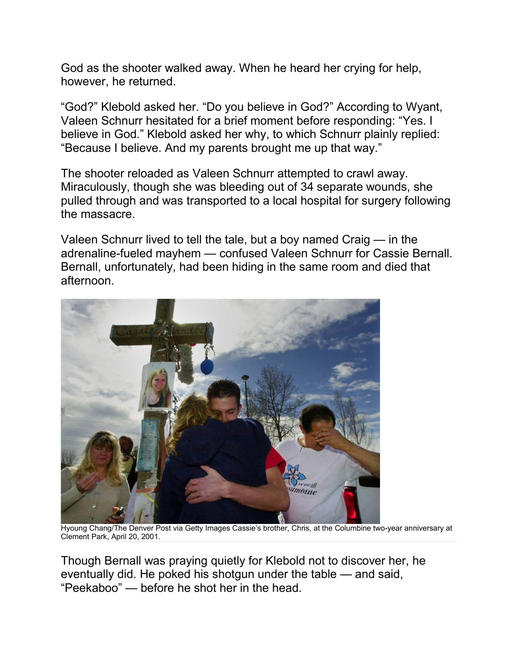God as the shooter walked away. When he heard her crying for help, however, he returned.

"God?" Klebold asked her. "Do you believe in God?" According to Wyant, Valeen Schnurr hesitated for a brief moment before responding: "Yes. I believe in God." Klebold asked her why, to which Schnurr plainly replied: "Because I believe. And my parents brought me up that way."

The shooter reloaded as Valeen Schnurr attempted to crawl away. Miraculously, though she was bleeding out of 34 separate wounds, she pulled through and was transported to a local hospital for surgery following the massacre.

Valeen Schnurr lived to tell the tale, but a boy named Craig — in the adrenaline-fueled mayhem — confused Valeen Schnurr for Cassie Bernall. Bernall, unfortunately, had been hiding in the same room and died that afternoon.



Hyoung Chang/The Denver Post via Getty Images Cassie's brother, Chris, at the Columbine two-year anniversary at Clement Park, April 20, 2001.

Though Bernall was praying quietly for Klebold not to discover her, he eventually did. He poked his shotgun under the table — and said, "Peekaboo" — before he shot her in the head.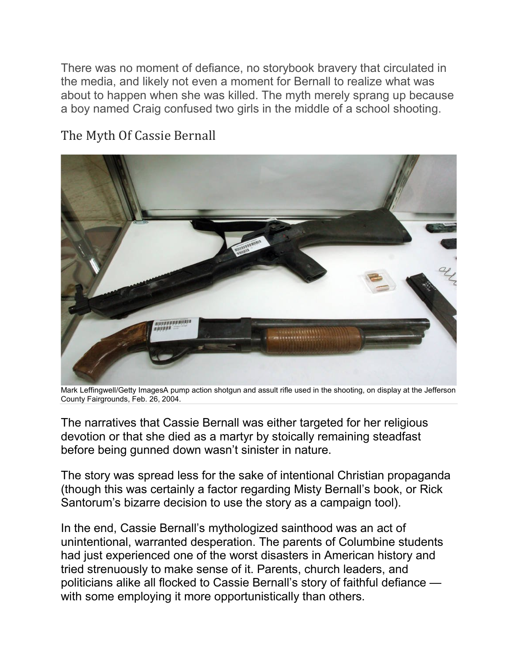There was no moment of defiance, no storybook bravery that circulated in the media, and likely not even a moment for Bernall to realize what was about to happen when she was killed. The myth merely sprang up because a boy named Craig confused two girls in the middle of a school shooting.



## The Myth Of Cassie Bernall

Mark Leffingwell/Getty ImagesA pump action shotgun and assult rifle used in the shooting, on display at the Jefferson County Fairgrounds, Feb. 26, 2004.

The narratives that Cassie Bernall was either targeted for her religious devotion or that she died as a martyr by stoically remaining steadfast before being gunned down wasn't sinister in nature.

The story was spread less for the sake of intentional Christian propaganda (though this was certainly a factor regarding Misty Bernall's book, or [Rick](https://www.washingtonpost.com/news/post-politics/wp/2015/09/16/running-transcript-undercard-gop-debate/)  [Santorum's bizarre decision](https://www.washingtonpost.com/news/post-politics/wp/2015/09/16/running-transcript-undercard-gop-debate/) to use the story as a campaign tool).

In the end, Cassie Bernall's mythologized sainthood was an act of unintentional, warranted desperation. The parents of Columbine students had just experienced one of the worst disasters in American history and tried strenuously to make sense of it. Parents, church leaders, and politicians alike all flocked to Cassie Bernall's story of faithful defiance with some employing it more opportunistically than others.